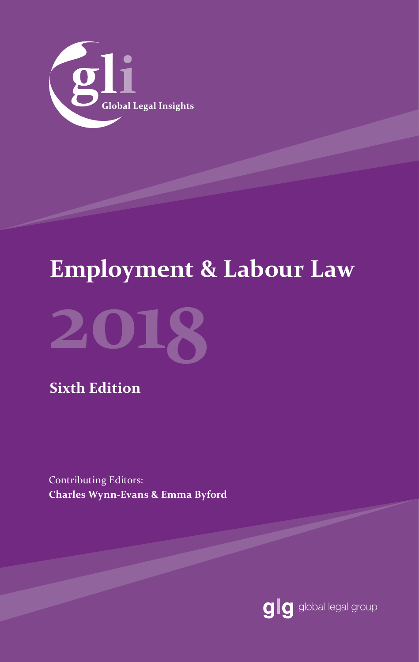

# **Employment & Labour Law**



**Sixth Edition**

Contributing Editors: **Charles Wynn-Evans & Emma Byford**

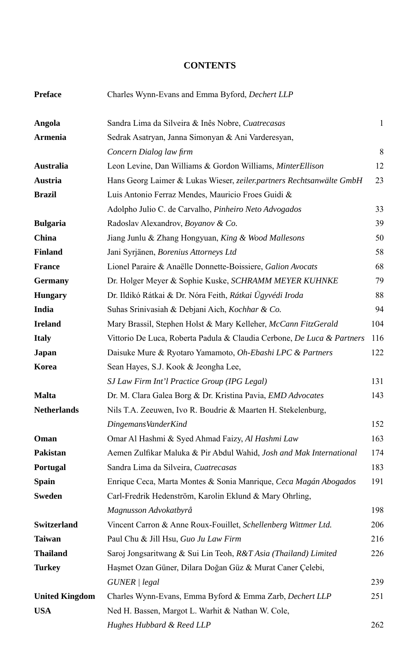#### **CONTENTS**

| <b>Preface</b>        | Charles Wynn-Evans and Emma Byford, Dechert LLP                        |     |  |  |
|-----------------------|------------------------------------------------------------------------|-----|--|--|
| Angola                | Sandra Lima da Silveira & Inês Nobre, Cuatrecasas                      | 1   |  |  |
| <b>Armenia</b>        | Sedrak Asatryan, Janna Simonyan & Ani Varderesyan,                     |     |  |  |
|                       | Concern Dialog law firm                                                | 8   |  |  |
| Australia             | Leon Levine, Dan Williams & Gordon Williams, MinterEllison             | 12  |  |  |
| Austria               | Hans Georg Laimer & Lukas Wieser, zeiler.partners Rechtsanwälte GmbH   | 23  |  |  |
| <b>Brazil</b>         | Luis Antonio Ferraz Mendes, Mauricio Froes Guidi &                     |     |  |  |
|                       | Adolpho Julio C. de Carvalho, Pinheiro Neto Advogados                  | 33  |  |  |
| <b>Bulgaria</b>       | Radoslav Alexandrov, Boyanov & Co.                                     | 39  |  |  |
| China                 | Jiang Junlu & Zhang Hongyuan, King & Wood Mallesons                    |     |  |  |
| <b>Finland</b>        | Jani Syrjänen, Borenius Attorneys Ltd                                  | 58  |  |  |
| <b>France</b>         | Lionel Paraire & Anaëlle Donnette-Boissiere, Galion Avocats            | 68  |  |  |
| <b>Germany</b>        | Dr. Holger Meyer & Sophie Kuske, SCHRAMM MEYER KUHNKE                  | 79  |  |  |
| <b>Hungary</b>        | Dr. Ildikó Rátkai & Dr. Nóra Feith, Rátkai Ügyvédi Iroda               | 88  |  |  |
| India                 | Suhas Srinivasiah & Debjani Aich, Kochhar & Co.                        | 94  |  |  |
| <b>Ireland</b>        | Mary Brassil, Stephen Holst & Mary Kelleher, McCann FitzGerald         | 104 |  |  |
| <b>Italy</b>          | Vittorio De Luca, Roberta Padula & Claudia Cerbone, De Luca & Partners |     |  |  |
| Japan                 | Daisuke Mure & Ryotaro Yamamoto, Oh-Ebashi LPC & Partners              | 122 |  |  |
| Korea                 | Sean Hayes, S.J. Kook & Jeongha Lee,                                   |     |  |  |
|                       | SJ Law Firm Int'l Practice Group (IPG Legal)                           | 131 |  |  |
| <b>Malta</b>          | Dr. M. Clara Galea Borg & Dr. Kristina Pavia, EMD Advocates            | 143 |  |  |
| <b>Netherlands</b>    | Nils T.A. Zeeuwen, Ivo R. Boudrie & Maarten H. Stekelenburg,           |     |  |  |
|                       | DingemansVanderKind                                                    | 152 |  |  |
| Oman                  | Omar Al Hashmi & Syed Ahmad Faizy, Al Hashmi Law                       | 163 |  |  |
| Pakistan              | Aemen Zulfikar Maluka & Pir Abdul Wahid, Josh and Mak International    | 174 |  |  |
| Portugal              | Sandra Lima da Silveira, Cuatrecasas                                   | 183 |  |  |
| <b>Spain</b>          | Enrique Ceca, Marta Montes & Sonia Manrique, Ceca Magán Abogados       | 191 |  |  |
| <b>Sweden</b>         | Carl-Fredrik Hedenström, Karolin Eklund & Mary Ohrling,                |     |  |  |
|                       | Magnusson Advokatbyrå                                                  | 198 |  |  |
| Switzerland           | Vincent Carron & Anne Roux-Fouillet, Schellenberg Wittmer Ltd.         | 206 |  |  |
| <b>Taiwan</b>         | Paul Chu & Jill Hsu, Guo Ju Law Firm                                   | 216 |  |  |
| <b>Thailand</b>       | Saroj Jongsaritwang & Sui Lin Teoh, R&T Asia (Thailand) Limited        | 226 |  |  |
| <b>Turkey</b>         | Hașmet Ozan Güner, Dilara Doğan Güz & Murat Caner Çelebi,              |     |  |  |
|                       | GUNER / legal                                                          | 239 |  |  |
| <b>United Kingdom</b> | Charles Wynn-Evans, Emma Byford & Emma Zarb, Dechert LLP               | 251 |  |  |
| <b>USA</b>            | Ned H. Bassen, Margot L. Warhit & Nathan W. Cole,                      |     |  |  |
|                       | Hughes Hubbard & Reed LLP                                              | 262 |  |  |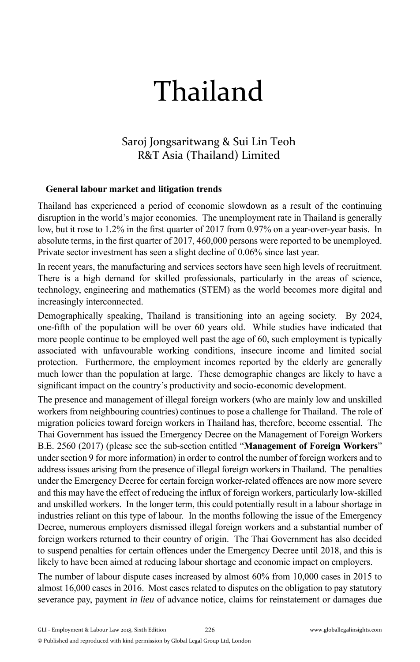# Thailand

## Saroj Jongsaritwang & Sui Lin Teoh R&T Asia (Thailand) Limited

#### **General labour market and litigation trends**

Thailand has experienced a period of economic slowdown as a result of the continuing disruption in the world's major economies. The unemployment rate in Thailand is generally low, but it rose to  $1.2\%$  in the first quarter of 2017 from 0.97% on a year-over-year basis. In absolute terms, in the first quarter of 2017, 460,000 persons were reported to be unemployed. Private sector investment has seen a slight decline of 0.06% since last year.

In recent years, the manufacturing and services sectors have seen high levels of recruitment. There is a high demand for skilled professionals, particularly in the areas of science, technology, engineering and mathematics (STEM) as the world becomes more digital and increasingly interconnected.

Demographically speaking, Thailand is transitioning into an ageing society. By 2024, one-fi fth of the population will be over 60 years old. While studies have indicated that more people continue to be employed well past the age of 60, such employment is typically associated with unfavourable working conditions, insecure income and limited social protection. Furthermore, the employment incomes reported by the elderly are generally much lower than the population at large. These demographic changes are likely to have a significant impact on the country's productivity and socio-economic development.

The presence and management of illegal foreign workers (who are mainly low and unskilled workers from neighbouring countries) continues to pose a challenge for Thailand. The role of migration policies toward foreign workers in Thailand has, therefore, become essential. The Thai Government has issued the Emergency Decree on the Management of Foreign Workers B.E. 2560 (2017) (please see the sub-section entitled "**Management of Foreign Workers**" under section 9 for more information) in order to control the number of foreign workers and to address issues arising from the presence of illegal foreign workers in Thailand. The penalties under the Emergency Decree for certain foreign worker-related offences are now more severe and this may have the effect of reducing the influx of foreign workers, particularly low-skilled and unskilled workers. In the longer term, this could potentially result in a labour shortage in industries reliant on this type of labour. In the months following the issue of the Emergency Decree, numerous employers dismissed illegal foreign workers and a substantial number of foreign workers returned to their country of origin. The Thai Government has also decided to suspend penalties for certain offences under the Emergency Decree until 2018, and this is likely to have been aimed at reducing labour shortage and economic impact on employers.

The number of labour dispute cases increased by almost 60% from 10,000 cases in 2015 to almost 16,000 cases in 2016. Most cases related to disputes on the obligation to pay statutory severance pay, payment *in lieu* of advance notice, claims for reinstatement or damages due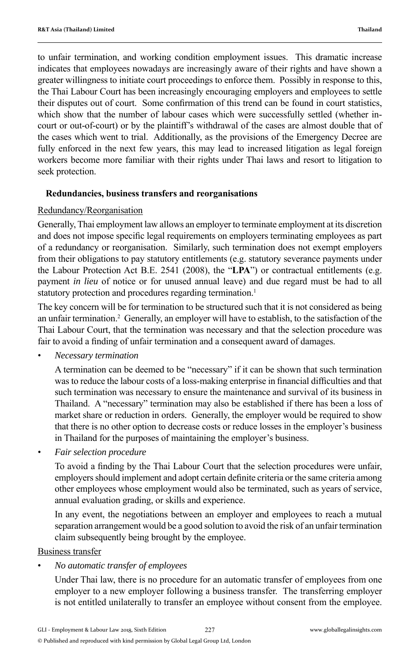to unfair termination, and working condition employment issues. This dramatic increase indicates that employees nowadays are increasingly aware of their rights and have shown a greater willingness to initiate court proceedings to enforce them. Possibly in response to this, the Thai Labour Court has been increasingly encouraging employers and employees to settle their disputes out of court. Some confirmation of this trend can be found in court statistics, which show that the number of labour cases which were successfully settled (whether incourt or out-of-court) or by the plaintiff's withdrawal of the cases are almost double that of the cases which went to trial. Additionally, as the provisions of the Emergency Decree are fully enforced in the next few years, this may lead to increased litigation as legal foreign workers become more familiar with their rights under Thai laws and resort to litigation to seek protection.

#### **Redundancies, business transfers and reorganisations**

#### Redundancy/Reorganisation

Generally, Thai employment law allows an employer to terminate employment at its discretion and does not impose specific legal requirements on employers terminating employees as part of a redundancy or reorganisation. Similarly, such termination does not exempt employers from their obligations to pay statutory entitlements (e.g. statutory severance payments under the Labour Protection Act B.E. 2541 (2008), the "**LPA**") or contractual entitlements (e.g. payment *in lieu* of notice or for unused annual leave) and due regard must be had to all statutory protection and procedures regarding termination.<sup>1</sup>

The key concern will be for termination to be structured such that it is not considered as being an unfair termination.<sup>2</sup> Generally, an employer will have to establish, to the satisfaction of the Thai Labour Court, that the termination was necessary and that the selection procedure was fair to avoid a finding of unfair termination and a consequent award of damages.

*• Necessary termination*

 A termination can be deemed to be "necessary" if it can be shown that such termination was to reduce the labour costs of a loss-making enterprise in financial difficulties and that such termination was necessary to ensure the maintenance and survival of its business in Thailand. A "necessary" termination may also be established if there has been a loss of market share or reduction in orders. Generally, the employer would be required to show that there is no other option to decrease costs or reduce losses in the employer's business in Thailand for the purposes of maintaining the employer's business.

*• Fair selection procedure*

To avoid a finding by the Thai Labour Court that the selection procedures were unfair, employers should implement and adopt certain definite criteria or the same criteria among other employees whose employment would also be terminated, such as years of service, annual evaluation grading, or skills and experience.

 In any event, the negotiations between an employer and employees to reach a mutual separation arrangement would be a good solution to avoid the risk of an unfair termination claim subsequently being brought by the employee.

#### Business transfer

#### • *No automatic transfer of employees*

 Under Thai law, there is no procedure for an automatic transfer of employees from one employer to a new employer following a business transfer. The transferring employer is not entitled unilaterally to transfer an employee without consent from the employee.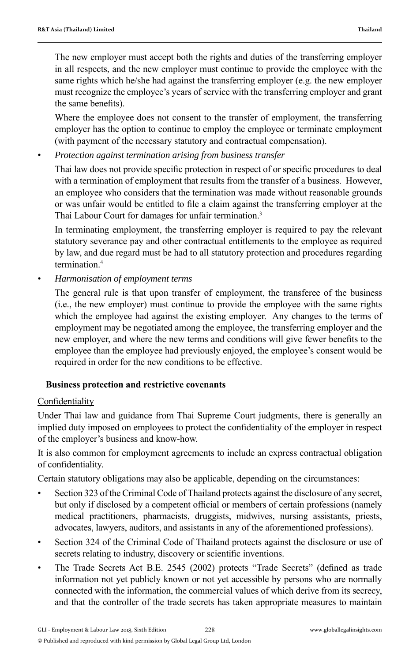The new employer must accept both the rights and duties of the transferring employer in all respects, and the new employer must continue to provide the employee with the same rights which he/she had against the transferring employer (e.g. the new employer must recognize the employee's years of service with the transferring employer and grant the same benefits).

 Where the employee does not consent to the transfer of employment, the transferring employer has the option to continue to employ the employee or terminate employment (with payment of the necessary statutory and contractual compensation).

• *Protection against termination arising from business transfer*

Thai law does not provide specific protection in respect of or specific procedures to deal with a termination of employment that results from the transfer of a business. However, an employee who considers that the termination was made without reasonable grounds or was unfair would be entitled to file a claim against the transferring employer at the Thai Labour Court for damages for unfair termination.<sup>3</sup>

 In terminating employment, the transferring employer is required to pay the relevant statutory severance pay and other contractual entitlements to the employee as required by law, and due regard must be had to all statutory protection and procedures regarding termination<sup>4</sup>

• *Harmonisation of employment terms*

 The general rule is that upon transfer of employment, the transferee of the business (i.e., the new employer) must continue to provide the employee with the same rights which the employee had against the existing employer. Any changes to the terms of employment may be negotiated among the employee, the transferring employer and the new employer, and where the new terms and conditions will give fewer benefits to the employee than the employee had previously enjoyed, the employee's consent would be required in order for the new conditions to be effective.

#### **Business protection and restrictive covenants**

#### Confidentiality

Under Thai law and guidance from Thai Supreme Court judgments, there is generally an implied duty imposed on employees to protect the confidentiality of the employer in respect of the employer's business and know-how.

It is also common for employment agreements to include an express contractual obligation of confidentiality.

Certain statutory obligations may also be applicable, depending on the circumstances:

- Section 323 of the Criminal Code of Thailand protects against the disclosure of any secret, but only if disclosed by a competent official or members of certain professions (namely medical practitioners, pharmacists, druggists, midwives, nursing assistants, priests, advocates, lawyers, auditors, and assistants in any of the aforementioned professions).
- Section 324 of the Criminal Code of Thailand protects against the disclosure or use of secrets relating to industry, discovery or scientific inventions.
- The Trade Secrets Act B.E. 2545 (2002) protects "Trade Secrets" (defined as trade information not yet publicly known or not yet accessible by persons who are normally connected with the information, the commercial values of which derive from its secrecy, and that the controller of the trade secrets has taken appropriate measures to maintain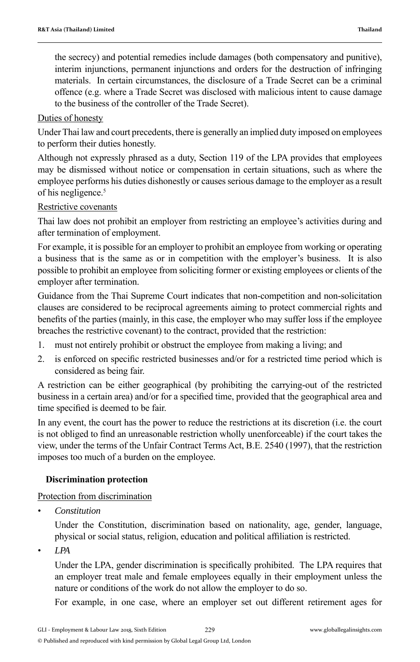the secrecy) and potential remedies include damages (both compensatory and punitive), interim injunctions, permanent injunctions and orders for the destruction of infringing materials. In certain circumstances, the disclosure of a Trade Secret can be a criminal offence (e.g. where a Trade Secret was disclosed with malicious intent to cause damage to the business of the controller of the Trade Secret).

#### Duties of honesty

Under Thai law and court precedents, there is generally an implied duty imposed on employees to perform their duties honestly.

Although not expressly phrased as a duty, Section 119 of the LPA provides that employees may be dismissed without notice or compensation in certain situations, such as where the employee performs his duties dishonestly or causes serious damage to the employer as a result of his negligence.<sup>5</sup>

#### Restrictive covenants

Thai law does not prohibit an employer from restricting an employee's activities during and after termination of employment.

For example, it is possible for an employer to prohibit an employee from working or operating a business that is the same as or in competition with the employer's business. It is also possible to prohibit an employee from soliciting former or existing employees or clients of the employer after termination.

Guidance from the Thai Supreme Court indicates that non-competition and non-solicitation clauses are considered to be reciprocal agreements aiming to protect commercial rights and benefits of the parties (mainly, in this case, the employer who may suffer loss if the employee breaches the restrictive covenant) to the contract, provided that the restriction:

- 1. must not entirely prohibit or obstruct the employee from making a living; and
- 2. is enforced on specific restricted businesses and/or for a restricted time period which is considered as being fair.

A restriction can be either geographical (by prohibiting the carrying-out of the restricted business in a certain area) and/or for a specified time, provided that the geographical area and time specified is deemed to be fair.

In any event, the court has the power to reduce the restrictions at its discretion (i.e. the court is not obliged to find an unreasonable restriction wholly unenforceable) if the court takes the view, under the terms of the Unfair Contract Terms Act, B.E. 2540 (1997), that the restriction imposes too much of a burden on the employee.

#### **Discrimination protection**

#### Protection from discrimination

*• Constitution*

 Under the Constitution, discrimination based on nationality, age, gender, language, physical or social status, religion, education and political affiliation is restricted.

*• LPA*

Under the LPA, gender discrimination is specifically prohibited. The LPA requires that an employer treat male and female employees equally in their employment unless the nature or conditions of the work do not allow the employer to do so.

For example, in one case, where an employer set out different retirement ages for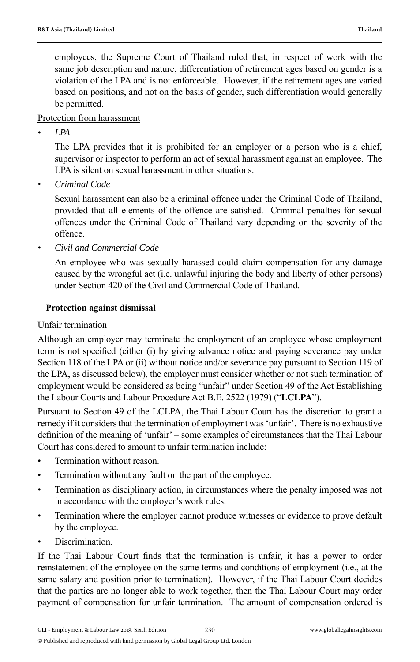employees, the Supreme Court of Thailand ruled that, in respect of work with the same job description and nature, differentiation of retirement ages based on gender is a violation of the LPA and is not enforceable. However, if the retirement ages are varied based on positions, and not on the basis of gender, such differentiation would generally be permitted.

#### Protection from harassment

*• LPA*

 The LPA provides that it is prohibited for an employer or a person who is a chief, supervisor or inspector to perform an act of sexual harassment against an employee. The LPA is silent on sexual harassment in other situations.

*• Criminal Code*

 Sexual harassment can also be a criminal offence under the Criminal Code of Thailand, provided that all elements of the offence are satisfied. Criminal penalties for sexual offences under the Criminal Code of Thailand vary depending on the severity of the offence.

*• Civil and Commercial Code*

 An employee who was sexually harassed could claim compensation for any damage caused by the wrongful act (i.e. unlawful injuring the body and liberty of other persons) under Section 420 of the Civil and Commercial Code of Thailand.

#### **Protection against dismissal**

#### Unfair termination

Although an employer may terminate the employment of an employee whose employment term is not specified (either (i) by giving advance notice and paying severance pay under Section 118 of the LPA or (ii) without notice and/or severance pay pursuant to Section 119 of the LPA, as discussed below), the employer must consider whether or not such termination of employment would be considered as being "unfair" under Section 49 of the Act Establishing the Labour Courts and Labour Procedure Act B.E. 2522 (1979) ("**LCLPA**").

Pursuant to Section 49 of the LCLPA, the Thai Labour Court has the discretion to grant a remedy if it considers that the termination of employment was 'unfair'. There is no exhaustive definition of the meaning of 'unfair' – some examples of circumstances that the Thai Labour Court has considered to amount to unfair termination include:

- Termination without reason.
- Termination without any fault on the part of the employee.
- Termination as disciplinary action, in circumstances where the penalty imposed was not in accordance with the employer's work rules.
- Termination where the employer cannot produce witnesses or evidence to prove default by the employee.
- Discrimination

If the Thai Labour Court finds that the termination is unfair, it has a power to order reinstatement of the employee on the same terms and conditions of employment (i.e., at the same salary and position prior to termination). However, if the Thai Labour Court decides that the parties are no longer able to work together, then the Thai Labour Court may order payment of compensation for unfair termination. The amount of compensation ordered is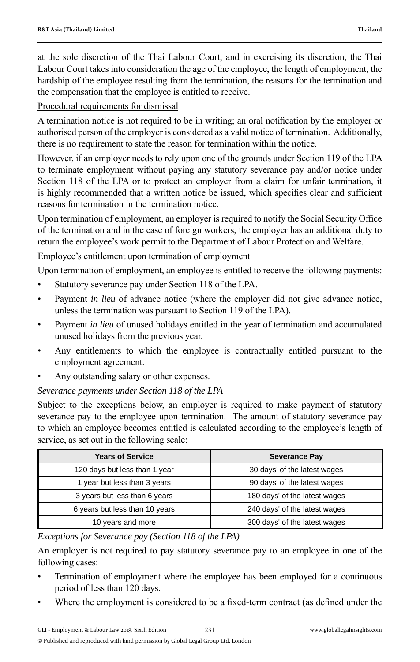at the sole discretion of the Thai Labour Court, and in exercising its discretion, the Thai Labour Court takes into consideration the age of the employee, the length of employment, the hardship of the employee resulting from the termination, the reasons for the termination and the compensation that the employee is entitled to receive.

#### Procedural requirements for dismissal

A termination notice is not required to be in writing; an oral notification by the employer or authorised person of the employer is considered as a valid notice of termination. Additionally, there is no requirement to state the reason for termination within the notice.

However, if an employer needs to rely upon one of the grounds under Section 119 of the LPA to terminate employment without paying any statutory severance pay and/or notice under Section 118 of the LPA or to protect an employer from a claim for unfair termination, it is highly recommended that a written notice be issued, which specifies clear and sufficient reasons for termination in the termination notice.

Upon termination of employment, an employer is required to notify the Social Security Office of the termination and in the case of foreign workers, the employer has an additional duty to return the employee's work permit to the Department of Labour Protection and Welfare.

#### Employee's entitlement upon termination of employment

Upon termination of employment, an employee is entitled to receive the following payments:

- Statutory severance pay under Section 118 of the LPA.
- Payment *in lieu* of advance notice (where the employer did not give advance notice, unless the termination was pursuant to Section 119 of the LPA).
- Payment *in lieu* of unused holidays entitled in the year of termination and accumulated unused holidays from the previous year.
- Any entitlements to which the employee is contractually entitled pursuant to the employment agreement.
- Any outstanding salary or other expenses.

#### *Severance payments under Section 118 of the LPA*

Subject to the exceptions below, an employer is required to make payment of statutory severance pay to the employee upon termination. The amount of statutory severance pay to which an employee becomes entitled is calculated according to the employee's length of service, as set out in the following scale:

| <b>Years of Service</b>        | <b>Severance Pay</b>          |  |
|--------------------------------|-------------------------------|--|
| 120 days but less than 1 year  | 30 days' of the latest wages  |  |
| 1 year but less than 3 years   | 90 days' of the latest wages  |  |
| 3 years but less than 6 years  | 180 days' of the latest wages |  |
| 6 years but less than 10 years | 240 days' of the latest wages |  |
| 10 years and more              | 300 days' of the latest wages |  |

*Exceptions for Severance pay (Section 118 of the LPA)*

An employer is not required to pay statutory severance pay to an employee in one of the following cases:

- Termination of employment where the employee has been employed for a continuous period of less than 120 days.
- Where the employment is considered to be a fixed-term contract (as defined under the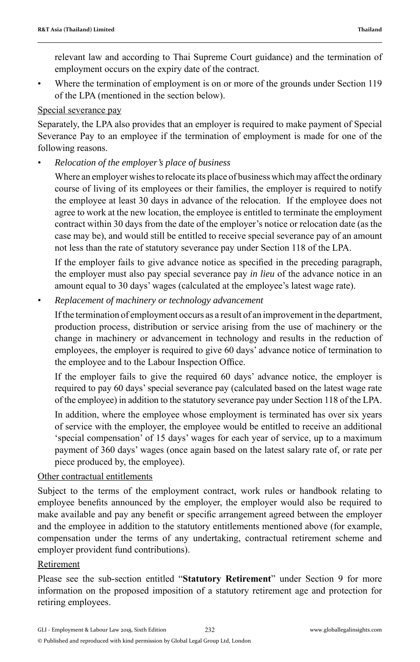relevant law and according to Thai Supreme Court guidance) and the termination of employment occurs on the expiry date of the contract.

• Where the termination of employment is on or more of the grounds under Section 119 of the LPA (mentioned in the section below).

#### Special severance pay

Separately, the LPA also provides that an employer is required to make payment of Special Severance Pay to an employee if the termination of employment is made for one of the following reasons.

*• Relocation of the employer's place of business*

 Where an employer wishes to relocate its place of business which may affect the ordinary course of living of its employees or their families, the employer is required to notify the employee at least 30 days in advance of the relocation. If the employee does not agree to work at the new location, the employee is entitled to terminate the employment contract within 30 days from the date of the employer's notice or relocation date (as the case may be), and would still be entitled to receive special severance pay of an amount not less than the rate of statutory severance pay under Section 118 of the LPA.

If the employer fails to give advance notice as specified in the preceding paragraph, the employer must also pay special severance pay *in lieu* of the advance notice in an amount equal to 30 days' wages (calculated at the employee's latest wage rate).

*• Replacement of machinery or technology advancement*

 If the termination of employment occurs as a result of an improvement in the department, production process, distribution or service arising from the use of machinery or the change in machinery or advancement in technology and results in the reduction of employees, the employer is required to give 60 days' advance notice of termination to the employee and to the Labour Inspection Office.

 If the employer fails to give the required 60 days' advance notice, the employer is required to pay 60 days' special severance pay (calculated based on the latest wage rate of the employee) in addition to the statutory severance pay under Section 118 of the LPA.

In addition, where the employee whose employment is terminated has over six years of service with the employer, the employee would be entitled to receive an additional 'special compensation' of 15 days' wages for each year of service, up to a maximum payment of 360 days' wages (once again based on the latest salary rate of, or rate per piece produced by, the employee).

#### Other contractual entitlements

Subject to the terms of the employment contract, work rules or handbook relating to employee benefits announced by the employer, the employer would also be required to make available and pay any benefit or specific arrangement agreed between the employer and the employee in addition to the statutory entitlements mentioned above (for example, compensation under the terms of any undertaking, contractual retirement scheme and employer provident fund contributions).

#### Retirement

Please see the sub-section entitled "**Statutory Retirement**" under Section 9 for more information on the proposed imposition of a statutory retirement age and protection for retiring employees.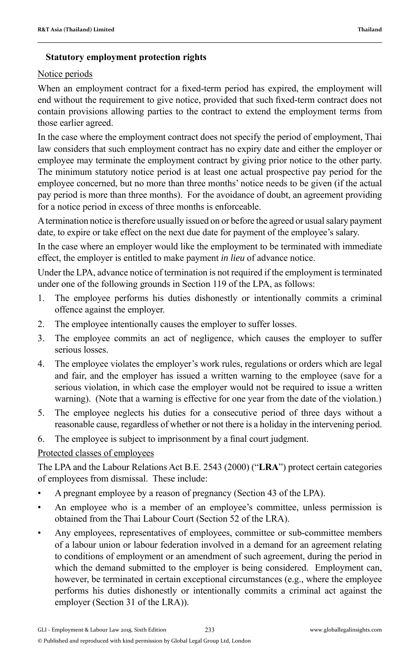#### **Statutory employment protection rights**

#### Notice periods

When an employment contract for a fixed-term period has expired, the employment will end without the requirement to give notice, provided that such fixed-term contract does not contain provisions allowing parties to the contract to extend the employment terms from those earlier agreed.

In the case where the employment contract does not specify the period of employment, Thai law considers that such employment contract has no expiry date and either the employer or employee may terminate the employment contract by giving prior notice to the other party. The minimum statutory notice period is at least one actual prospective pay period for the employee concerned, but no more than three months' notice needs to be given (if the actual pay period is more than three months). For the avoidance of doubt, an agreement providing for a notice period in excess of three months is enforceable.

A termination notice is therefore usually issued on or before the agreed or usual salary payment date, to expire or take effect on the next due date for payment of the employee's salary.

In the case where an employer would like the employment to be terminated with immediate effect, the employer is entitled to make payment *in lieu* of advance notice.

Under the LPA, advance notice of termination is not required if the employment is terminated under one of the following grounds in Section 119 of the LPA, as follows:

- 1. The employee performs his duties dishonestly or intentionally commits a criminal offence against the employer.
- 2. The employee intentionally causes the employer to suffer losses.
- 3. The employee commits an act of negligence, which causes the employer to suffer serious losses.
- 4. The employee violates the employer's work rules, regulations or orders which are legal and fair, and the employer has issued a written warning to the employee (save for a serious violation, in which case the employer would not be required to issue a written warning). (Note that a warning is effective for one year from the date of the violation.)
- 5. The employee neglects his duties for a consecutive period of three days without a reasonable cause, regardless of whether or not there is a holiday in the intervening period.
- 6. The employee is subject to imprisonment by a final court judgment.

### Protected classes of employees

The LPA and the Labour Relations Act B.E. 2543 (2000) ("**LRA**") protect certain categories of employees from dismissal. These include:

- A pregnant employee by a reason of pregnancy (Section 43 of the LPA).
- An employee who is a member of an employee's committee, unless permission is obtained from the Thai Labour Court (Section 52 of the LRA).
- Any employees, representatives of employees, committee or sub-committee members of a labour union or labour federation involved in a demand for an agreement relating to conditions of employment or an amendment of such agreement, during the period in which the demand submitted to the employer is being considered. Employment can, however, be terminated in certain exceptional circumstances (e.g., where the employee performs his duties dishonestly or intentionally commits a criminal act against the employer (Section 31 of the LRA)).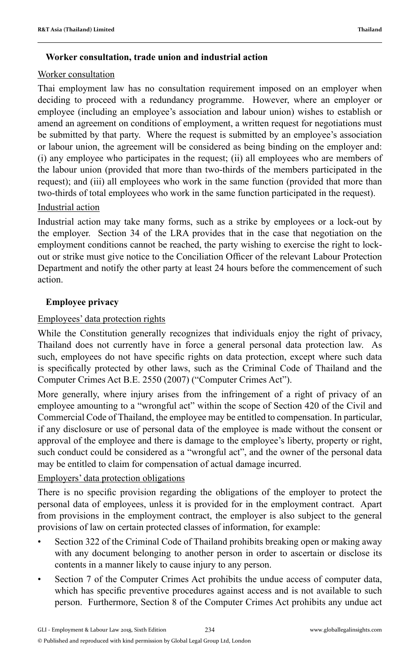#### **Worker consultation, trade union and industrial action**

#### Worker consultation

Thai employment law has no consultation requirement imposed on an employer when deciding to proceed with a redundancy programme. However, where an employer or employee (including an employee's association and labour union) wishes to establish or amend an agreement on conditions of employment, a written request for negotiations must be submitted by that party. Where the request is submitted by an employee's association or labour union, the agreement will be considered as being binding on the employer and: (i) any employee who participates in the request; (ii) all employees who are members of the labour union (provided that more than two-thirds of the members participated in the request); and (iii) all employees who work in the same function (provided that more than two-thirds of total employees who work in the same function participated in the request).

#### Industrial action

Industrial action may take many forms, such as a strike by employees or a lock-out by the employer. Section 34 of the LRA provides that in the case that negotiation on the employment conditions cannot be reached, the party wishing to exercise the right to lockout or strike must give notice to the Conciliation Officer of the relevant Labour Protection Department and notify the other party at least 24 hours before the commencement of such action.

### **Employee privacy**

#### Employees' data protection rights

While the Constitution generally recognizes that individuals enjoy the right of privacy, Thailand does not currently have in force a general personal data protection law. As such, employees do not have specific rights on data protection, except where such data is specifically protected by other laws, such as the Criminal Code of Thailand and the Computer Crimes Act B.E. 2550 (2007) ("Computer Crimes Act").

More generally, where injury arises from the infringement of a right of privacy of an employee amounting to a "wrongful act" within the scope of Section 420 of the Civil and Commercial Code of Thailand, the employee may be entitled to compensation. In particular, if any disclosure or use of personal data of the employee is made without the consent or approval of the employee and there is damage to the employee's liberty, property or right, such conduct could be considered as a "wrongful act", and the owner of the personal data may be entitled to claim for compensation of actual damage incurred.

### Employers' data protection obligations

There is no specific provision regarding the obligations of the employer to protect the personal data of employees, unless it is provided for in the employment contract. Apart from provisions in the employment contract, the employer is also subject to the general provisions of law on certain protected classes of information, for example:

- Section 322 of the Criminal Code of Thailand prohibits breaking open or making away with any document belonging to another person in order to ascertain or disclose its contents in a manner likely to cause injury to any person.
- Section 7 of the Computer Crimes Act prohibits the undue access of computer data, which has specific preventive procedures against access and is not available to such person. Furthermore, Section 8 of the Computer Crimes Act prohibits any undue act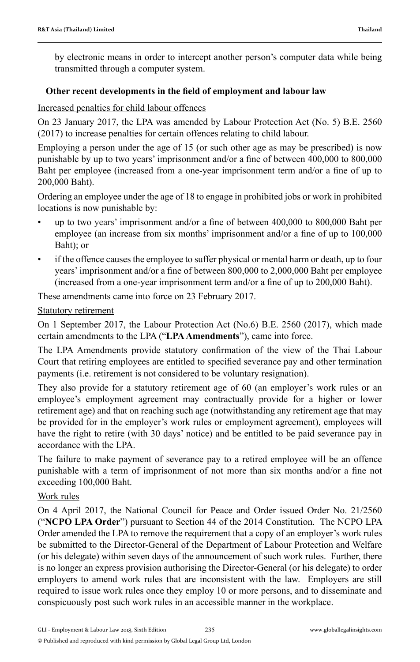by electronic means in order to intercept another person's computer data while being transmitted through a computer system.

#### Other recent developments in the field of employment and labour law

#### Increased penalties for child labour offences

On 23 January 2017, the LPA was amended by Labour Protection Act (No. 5) B.E. 2560 (2017) to increase penalties for certain offences relating to child labour.

Employing a person under the age of 15 (or such other age as may be prescribed) is now punishable by up to two years' imprisonment and/or a fine of between 400,000 to 800,000 Baht per employee (increased from a one-year imprisonment term and/or a fine of up to 200,000 Baht).

Ordering an employee under the age of 18 to engage in prohibited jobs or work in prohibited locations is now punishable by:

- up to two years' imprisonment and/or a fine of between 400,000 to 800,000 Baht per employee (an increase from six months' imprisonment and/or a fine of up to 100,000 Baht); or
- if the offence causes the employee to suffer physical or mental harm or death, up to four years' imprisonment and/or a fine of between 800,000 to 2,000,000 Baht per employee (increased from a one-year imprisonment term and/or a fine of up to  $200,000$  Baht).

These amendments came into force on 23 February 2017.

#### Statutory retirement

On 1 September 2017, the Labour Protection Act (No.6) B.E. 2560 (2017), which made certain amendments to the LPA ("**LPA Amendments**"), came into force.

The LPA Amendments provide statutory confirmation of the view of the Thai Labour Court that retiring employees are entitled to specified severance pay and other termination payments (i.e. retirement is not considered to be voluntary resignation).

They also provide for a statutory retirement age of 60 (an employer's work rules or an employee's employment agreement may contractually provide for a higher or lower retirement age) and that on reaching such age (notwithstanding any retirement age that may be provided for in the employer's work rules or employment agreement), employees will have the right to retire (with 30 days' notice) and be entitled to be paid severance pay in accordance with the LPA.

The failure to make payment of severance pay to a retired employee will be an offence punishable with a term of imprisonment of not more than six months and/or a fine not exceeding 100,000 Baht.

#### Work rules

On 4 April 2017, the National Council for Peace and Order issued Order No. 21/2560 (" **NCPO LPA Order**") pursuant to Section 44 of the 2014 Constitution. The NCPO LPA Order amended the LPA to remove the requirement that a copy of an employer's work rules be submitted to the Director-General of the Department of Labour Protection and Welfare (or his delegate) within seven days of the announcement of such work rules. Further, there is no longer an express provision authorising the Director-General (or his delegate) to order employers to amend work rules that are inconsistent with the law. Employers are still required to issue work rules once they employ 10 or more persons, and to disseminate and conspicuously post such work rules in an accessible manner in the workplace.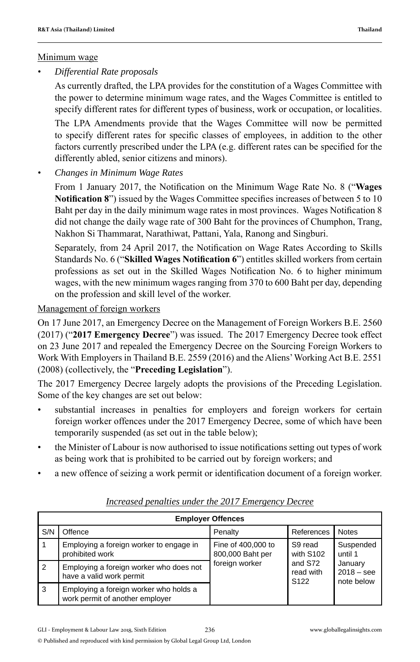#### Minimum wage

*• Differential Rate proposals*

 As currently drafted, the LPA provides for the constitution of a Wages Committee with the power to determine minimum wage rates, and the Wages Committee is entitled to specify different rates for different types of business, work or occupation, or localities.

 The LPA Amendments provide that the Wages Committee will now be permitted to specify different rates for specific classes of employees, in addition to the other factors currently prescribed under the LPA (e.g. different rates can be specified for the differently abled, senior citizens and minors).

*• Changes in Minimum Wage Rates*

From 1 January 2017, the Notification on the Minimum Wage Rate No. 8 ("**Wages Notification 8**") issued by the Wages Committee specifies increases of between 5 to 10 Baht per day in the daily minimum wage rates in most provinces. Wages Notification 8 did not change the daily wage rate of 300 Baht for the provinces of Chumphon, Trang, Nakhon Si Thammarat, Narathiwat, Pattani, Yala, Ranong and Singburi.

Separately, from 24 April 2017, the Notification on Wage Rates According to Skills Standards No. 6 ("Skilled Wages Notification 6") entitles skilled workers from certain professions as set out in the Skilled Wages Notification No. 6 to higher minimum wages, with the new minimum wages ranging from 370 to 600 Baht per day, depending on the profession and skill level of the worker.

#### Management of foreign workers

On 17 June 2017, an Emergency Decree on the Management of Foreign Workers B.E. 2560 (2017) ("**2017 Emergency Decree**") was issued. The 2017 Emergency Decree took effect on 23 June 2017 and repealed the Emergency Decree on the Sourcing Foreign Workers to Work With Employers in Thailand B.E. 2559 (2016) and the Aliens' Working Act B.E. 2551 (2008) (collectively, the "**Preceding Legislation**").

The 2017 Emergency Decree largely adopts the provisions of the Preceding Legislation. Some of the key changes are set out below:

- substantial increases in penalties for employers and foreign workers for certain foreign worker offences under the 2017 Emergency Decree, some of which have been temporarily suspended (as set out in the table below);
- the Minister of Labour is now authorised to issue notifications setting out types of work as being work that is prohibited to be carried out by foreign workers; and
- a new offence of seizing a work permit or identification document of a foreign worker.

| <b>Employer Offences</b> |                                                                           |                                                          |                                          |                                       |                      |  |  |
|--------------------------|---------------------------------------------------------------------------|----------------------------------------------------------|------------------------------------------|---------------------------------------|----------------------|--|--|
| S/N                      | Offence                                                                   | Penalty                                                  | References                               | <b>Notes</b>                          |                      |  |  |
|                          | Employing a foreign worker to engage in<br>prohibited work                | Fine of 400,000 to<br>800,000 Baht per<br>foreign worker |                                          | S9 read<br>with S102                  | Suspended<br>until 1 |  |  |
| $\overline{2}$           | Employing a foreign worker who does not<br>have a valid work permit       |                                                          | and S72<br>read with<br>S <sub>122</sub> | January<br>$2018 -$ see<br>note below |                      |  |  |
| 3                        | Employing a foreign worker who holds a<br>work permit of another employer |                                                          |                                          |                                       |                      |  |  |

#### *Increased penalties under the 2017 Emergency Decree*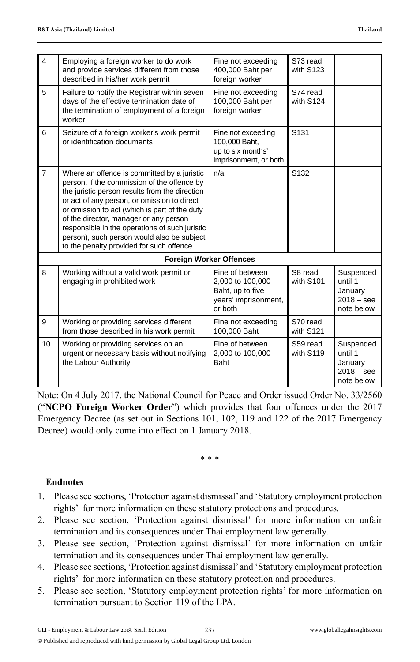| $\overline{4}$ | Employing a foreign worker to do work<br>and provide services different from those<br>described in his/her work permit                                                                                                                                                                                                                                                                                                             | Fine not exceeding<br>400,000 Baht per<br>foreign worker                                   | S73 read<br>with S123 |                                                               |
|----------------|------------------------------------------------------------------------------------------------------------------------------------------------------------------------------------------------------------------------------------------------------------------------------------------------------------------------------------------------------------------------------------------------------------------------------------|--------------------------------------------------------------------------------------------|-----------------------|---------------------------------------------------------------|
| 5              | Failure to notify the Registrar within seven<br>days of the effective termination date of<br>the termination of employment of a foreign<br>worker                                                                                                                                                                                                                                                                                  | Fine not exceeding<br>100,000 Baht per<br>foreign worker                                   | S74 read<br>with S124 |                                                               |
| 6              | Seizure of a foreign worker's work permit<br>or identification documents                                                                                                                                                                                                                                                                                                                                                           | Fine not exceeding<br>100,000 Baht,<br>up to six months'<br>imprisonment, or both          | S <sub>131</sub>      |                                                               |
| $\overline{7}$ | Where an offence is committed by a juristic<br>person, if the commission of the offence by<br>the juristic person results from the direction<br>or act of any person, or omission to direct<br>or omission to act (which is part of the duty<br>of the director, manager or any person<br>responsible in the operations of such juristic<br>person), such person would also be subject<br>to the penalty provided for such offence | n/a                                                                                        | S <sub>132</sub>      |                                                               |
|                |                                                                                                                                                                                                                                                                                                                                                                                                                                    | <b>Foreign Worker Offences</b>                                                             |                       |                                                               |
| 8              | Working without a valid work permit or<br>engaging in prohibited work                                                                                                                                                                                                                                                                                                                                                              | Fine of between<br>2,000 to 100,000<br>Baht, up to five<br>years' imprisonment,<br>or both | S8 read<br>with S101  | Suspended<br>until 1<br>January<br>$2018 -$ see<br>note below |
| 9              | Working or providing services different<br>from those described in his work permit                                                                                                                                                                                                                                                                                                                                                 | Fine not exceeding<br>100.000 Baht                                                         | S70 read<br>with S121 |                                                               |
| 10             | Working or providing services on an<br>urgent or necessary basis without notifying<br>the Labour Authority                                                                                                                                                                                                                                                                                                                         | Fine of between<br>2,000 to 100,000<br>Baht                                                | S59 read<br>with S119 | Suspended<br>until 1<br>January<br>$2018 -$ see<br>note below |

Note: On 4 July 2017, the National Council for Peace and Order issued Order No. 33/2560 ("**NCPO Foreign Worker Order**") which provides that four offences under the 2017 Emergency Decree (as set out in Sections 101, 102, 119 and 122 of the 2017 Emergency Decree) would only come into effect on 1 January 2018.

\* \* \*

#### **Endnotes**

- 1. Please see sections, 'Protection against dismissal' and 'Statutory employment protection rights' for more information on these statutory protections and procedures.
- 2. Please see section, 'Protection against dismissal' for more information on unfair termination and its consequences under Thai employment law generally.
- 3. Please see section, 'Protection against dismissal' for more information on unfair termination and its consequences under Thai employment law generally.
- 4. Please see sections, 'Protection against dismissal' and 'Statutory employment protection rights' for more information on these statutory protection and procedures.
- 5. Please see section, 'Statutory employment protection rights' for more information on termination pursuant to Section 119 of the LPA.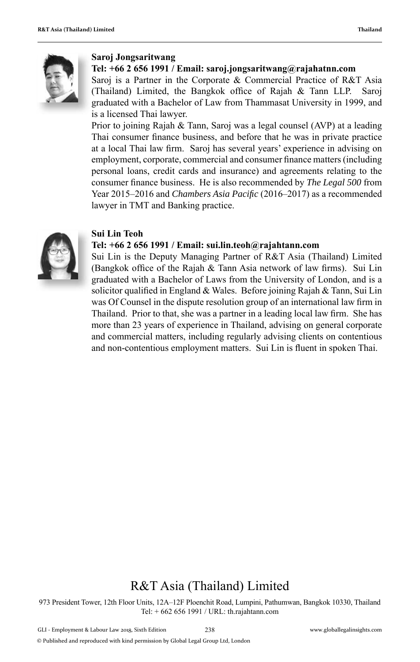

#### **Saroj Jongsaritwang**

#### **Tel: +66 2 656 1991 / Email: saroj.jongsaritwang@rajahatnn.com**

Saroj is a Partner in the Corporate & Commercial Practice of R&T Asia (Thailand) Limited, the Bangkok office of Rajah  $&$  Tann LLP. Saroj graduated with a Bachelor of Law from Thammasat University in 1999, and is a licensed Thai lawyer.

Prior to joining Rajah & Tann, Saroj was a legal counsel (AVP) at a leading Thai consumer finance business, and before that he was in private practice at a local Thai law firm. Saroj has several years' experience in advising on employment, corporate, commercial and consumer finance matters (including personal loans, credit cards and insurance) and agreements relating to the consumer finance business. He is also recommended by *The Legal 500* from Year 2015–2016 and *Chambers Asia Pacifi c* (2016 –2017) as a recommended lawyer in TMT and Banking practice.



#### **Sui Lin Teoh**

#### **Tel: +66 2 656 1991 / Email: sui.lin.teoh@rajahtann.com**

Sui Lin is the Deputy Managing Partner of R&T Asia (Thailand) Limited (Bangkok office of the Rajah  $\&$  Tann Asia network of law firms). Sui Lin graduated with a Bachelor of Laws from the University of London, and is a solicitor qualified in England & Wales. Before joining Rajah & Tann, Sui Lin was Of Counsel in the dispute resolution group of an international law firm in Thailand. Prior to that, she was a partner in a leading local law firm. She has more than 23 years of experience in Thailand, advising on general corporate and commercial matters, including regularly advising clients on contentious and non-contentious employment matters. Sui Lin is fluent in spoken Thai.

### R&T Asia (Thailand) Limited

973 President Tower, 12th Floor Units, 12A–12F Ploenchit Road, Lumpini, Pathumwan, Bangkok 10330, Thailand Tel: + 662 656 1991 / URL: th.rajahtann.com